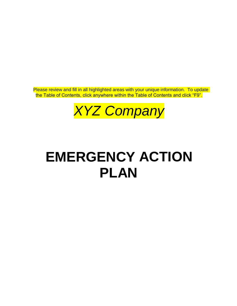Please review and fill in all highlighted areas with your unique information. To update the Table of Contents, click anywhere within the Table of Contents and click "F9".

*XYZ Company*

# **EMERGENCY ACTION PLAN**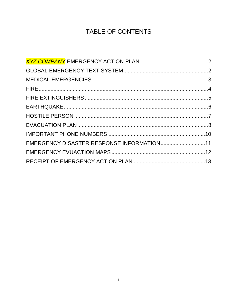## TABLE OF CONTENTS

| EMERGENCY DISASTER RESPONSE INFORMATION11 |  |
|-------------------------------------------|--|
|                                           |  |
|                                           |  |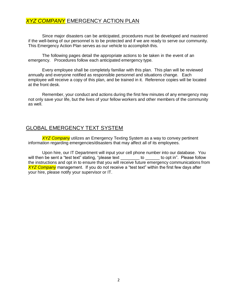#### <span id="page-2-0"></span>*XYZ COMPANY* EMERGENCY ACTION PLAN

Since major disasters can be anticipated, procedures must be developed and mastered if the well-being of our personnel is to be protected and if we are ready to serve our community. This Emergency Action Plan serves as our vehicle to accomplish this.

The following pages detail the appropriate actions to be taken in the event of an emergency. Procedures follow each anticipated emergency type.

Every employee shall be completely familiar with this plan. This plan will be reviewed annually and everyone notified as responsible personnel and situations change. Each employee will receive a copy of this plan, and be trained in it. Reference copies will be located at the front desk.

Remember, your conduct and actions during the first few minutes of any emergency may not only save your life, but the lives of your fellow workers and other members of the community as well.

#### <span id="page-2-1"></span>GLOBAL EMERGENCY TEXT SYSTEM

*XYZ Company* utilizes an Emergency Texting System as a way to convey pertinent information regarding emergencies/disasters that may affect all of its employees.

Upon hire, our IT Department will input your cell phone number into our database. You will then be sent a "test text" stating, "please text be to copt in". Please follow the instructions and opt in to ensure that you will receive future emergency communications from *XYZ Company* management. If you do not receive a "test text" within the first few days after your hire, please notify your supervisor or IT.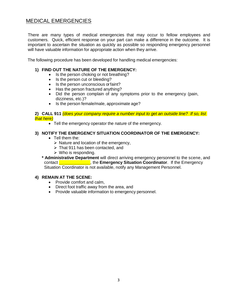## <span id="page-3-0"></span>MEDICAL EMERGENCIES

There are many types of medical emergencies that may occur to fellow employees and customers. Quick, efficient response on your part can make a difference in the outcome. It is important to ascertain the situation as quickly as possible so responding emergency personnel will have valuable information for appropriate action when they arrive.

The following procedure has been developed for handling medical emergencies:

#### **1) FIND OUT THE NATURE OF THE EMERGENCY:**

- Is the person choking or not breathing?
- Is the person cut or bleeding?
- Is the person unconscious or faint?
- Has the person fractured anything?
- Did the person complain of any symptoms prior to the emergency (pain, dizziness, etc.)?
- Is the person female/male, approximate age?

#### **2) CALL 911** *(does your company require a number input to get an outside line? If so, list that here)*

• Tell the emergency operator the nature of the emergency.

#### **3) NOTIFY THE EMERGENCY SITUATION COORDINATOR OF THE EMERGENCY:**

- Tell them the:
	- $\triangleright$  Nature and location of the emergency,
	- ➢ That 911 has been contacted, and
	- $\triangleright$  Who is responding.

**\* Administrative Department** will direct arriving emergency personnel to the scene, and contact **\_\_\_\_\_\_\_\_\_\_\_\_\_**, the **Emergency Situation Coordinator**. If the Emergency Situation Coordinator is not available, notify any Management Personnel.

#### **4) REMAIN AT THE SCENE:**

- Provide comfort and calm,
- Direct foot traffic away from the area, and
- Provide valuable information to emergency personnel.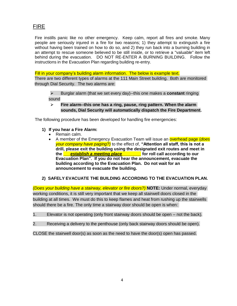## <span id="page-4-0"></span>FIRE

Fire instills panic like no other emergency. Keep calm, report all fires and smoke. Many people are seriously injured in a fire for two reasons; 1) they attempt to extinguish a fire without having been trained on how to do so, and 2) they run back into a burning building in an attempt to rescue someone believed to be still inside, or to retrieve a "valuable" item left behind during the evacuation. DO NOT RE-ENTER A BURNING BUILDING. Follow the instructions in the Evacuation Plan regarding building re-entry.

Fill in your company's building alarm information. The below is example text. There are two different types of alarms at the 111 Main Street building. Both are monitored through Dial Security. The two alarms are:

- ➢ Burglar alarm (that we set every day)--this one makes a **constant** ringing sound
- ➢ **Fire alarm--this one has a ring, pause, ring pattern. When the alarm sounds, Dial Security will automatically dispatch the Fire Department.**

The following procedure has been developed for handling fire emergencies:

- **1) If you hear a Fire Alarm:**
	- Remain calm.
	- A member of the Emergency Evacuation Team will issue an overhead page (*does your company have paging?)* to the effect of, **"Attention all staff, this is not a drill, please exit the building using the designated exit routes and meet in the \_\_\_***establish a meeting place***\_\_\_\_\_\_\_\_ for roll call according to our Evacuation Plan". If you do not hear the announcement, evacuate the building according to the Evacuation Plan. Do not wait for an announcement to evacuate the building.**

#### **2) SAFELY EVACUATE THE BUILDING ACCORDING TO THE EVACUATION PLAN.**

*(Does your building have a stairway, elevator or fire doors?)* **NOTE:** Under normal, everyday working conditions, it is still very important that we keep all stairwell doors closed in the building at all times. We must do this to keep flames and heat from rushing up the stairwells should there be a fire. The only time a stairway door should be open is when:

- 1. Elevator is not operating (only front stairway doors should be open not the back).
- 2. Receiving a delivery to the penthouse (only back stairway doors should be open).
- CLOSE the stairwell door(s) as soon as the need to have the door(s) open has passed.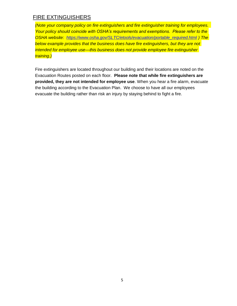## <span id="page-5-0"></span>FIRE EXTINGUISHERS

*(Note your company policy on fire extinguishers and fire extinguisher training for employees. Your policy should coincide with OSHA's requirements and exemptions. Please refer to the OSHA website: [https://www.osha.gov/SLTC/etools/evacuation/portable\\_required.html](https://www.osha.gov/SLTC/etools/evacuation/portable_required.html) ) The below example provides that the business does have fire extinguishers, but they are not intended for employee use—this business does not provide employee fire extinguisher training.)*

Fire extinguishers are located throughout our building and their locations are noted on the Evacuation Routes posted on each floor. **Please note that while fire extinguishers are provided, they are not intended for employee use**. When you hear a fire alarm, evacuate the building according to the Evacuation Plan. We choose to have all our employees evacuate the building rather than risk an injury by staying behind to fight a fire.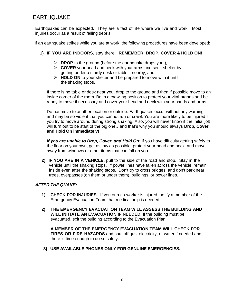## <span id="page-6-0"></span>EARTHQUAKE

Earthquakes can be expected. They are a fact of life where we live and work. Most injuries occur as a result of falling debris.

If an earthquake strikes while you are at work, the following procedures have been developed:

- **1) IF YOU ARE INDOORS,** stay there. **REMEMBER: DROP, COVER & HOLD ON!**
	- ➢ **DROP** to the ground (before the earthquake drops you!),
	- ➢ **COVER** your head and neck with your arms and seek shelter by getting under a sturdy desk or table if nearby; and
	- ➢ **HOLD ON** to your shelter and be prepared to move with it until the shaking stops.

If there is no table or desk near you, drop to the ground and then if possible move to an inside corner of the room. Be in a crawling position to protect your vital organs and be ready to move if necessary and cover your head and neck with your hands and arms.

Do not move to another location or outside. Earthquakes occur without any warning and may be so violent that you cannot run or crawl. You are more likely to be injured if you try to move around during strong shaking. Also, you will never know if the initial jolt will turn out to be start of the big one…and that's why you should always **Drop, Cover, and Hold On immediately!**

*If you are unable to Drop, Cover, and Hold On:* If you have difficulty getting safely to the floor on your own, get as low as possible, protect your head and neck, and move away from windows or other items that can fall on you.

**2) IF YOU ARE IN A VEHICLE,** pull to the side of the road and stop. Stay in the vehicle until the shaking stops. If power lines have fallen across the vehicle, remain inside even after the shaking stops. Don't try to cross bridges, and don't park near trees, overpasses (on them or under them), buildings, or power lines.

#### *AFTER THE QUAKE:*

- 1) **CHECK FOR INJURIES**. If you or a co-worker is injured, notify a member of the Emergency Evacuation Team that medical help is needed.
- **2) THE EMERGENCY EVACUATION TEAM WILL ASSESS THE BUILDING AND WILL INITIATE AN EVACUATION IF NEEDED.** If the building must be evacuated, exit the building according to the Evacuation Plan.

**A MEMBER OF THE EMERGENCY EVACUATION TEAM WILL CHECK FOR FIRES OR FIRE HAZARDS** and shut off gas, electricity, or water if needed and there is time enough to do so safely.

**3) USE AVAILABLE PHONES ONLY FOR GENUINE EMERGENCIES.**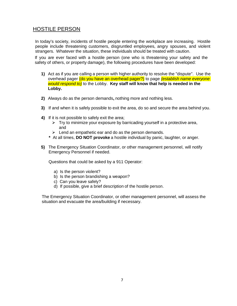## <span id="page-7-0"></span>HOSTILE PERSON

In today's society, incidents of hostile people entering the workplace are increasing. Hostile people include threatening customers, disgruntled employees, angry spouses, and violent strangers. Whatever the situation, these individuals should be treated with caution.

If you are ever faced with a hostile person (one who is threatening your safety and the safety of others, or property damage), the following procedures have been developed:

- **1)** Act as if you are calling a person with higher authority to resolve the "dispute". Use the overhead pager (do you have an overhead pager?) to page *(establish name everyone would respond to)* to the Lobby. **Key staff will know that help is needed in the Lobby.**
- **2)** Always do as the person demands**,** nothing more and nothing less.
- **3)** If and when it is safely possible to exit the area, do so and secure the area behind you.
- **4)** If it is not possible to safely exit the area;
	- ➢ Try to minimize your exposure by barricading yourself in a protective area, and
	- $\triangleright$  Lend an empathetic ear and do as the person demands.
	- **\*** At all times, **DO NOT provoke** a hostile individual by panic, laughter, or anger.
- **5)** The Emergency Situation Coordinator, or other management personnel, will notify Emergency Personnel if needed.

Questions that could be asked by a 911 Operator:

- a) Is the person violent?
- b) Is the person brandishing a weapon?
- c) Can you leave safely?
- d) If possible, give a brief description of the hostile person.

The Emergency Situation Coordinator, or other management personnel, will assess the situation and evacuate the area/building if necessary.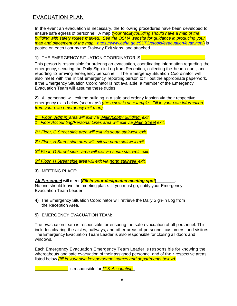## <span id="page-8-0"></span>EVACUATION PLAN

In the event an evacuation is necessary, the following procedures have been developed to ensure safe egress of personnel. A map (*your facility/building should have a map of the building with safety routes marked. See the OSHA website for guidance in producing your map and placement of the map: <https://www.osha.gov/SLTC/etools/evacuation/evac.html>*) is posted on each floor by the Stairway Exit signs, and attached.

#### **1)** THE EMERGENCY SITUATION COORDINATOR IS **EVALUATION**

This person is responsible for ordering an evacuation, coordinating information regarding the emergency, securing the Daily Sign-in Log from Reception, collecting the head count, and reporting to arriving emergency personnel. The Emergency Situation Coordinator will also meet with the initial emergency reporting person to fill out the appropriate paperwork. If the Emergency Situation Coordinator is not available, a member of the Emergency Evacuation Team will assume these duties.

**2)** All personnel will exit the building in a safe and orderly fashion via their respective emergency exits below (see maps) *(the below is an example. Fill in your own information from your own emergency exit map)*:

*1 st Floor Admin area will exit via Main/Lobby Building exit. 1 st Floor Accounting/Personal Lines area will exit via Main Street exit.*

*2 nd Floor, G Street side area will exit via south stairwell exit.*

*2 nd Floor, H Street side area will exit via north stairwell exit.*

*3 rd Floor, G Street side area will exit via south stairwell exit.*

*3 rd Floor, H Street side area will exit via north stairwell exit.*

**3)** MEETING PLACE:

*All Personnel* will meet **(***Fill in your designated meeting spot***)\_\_\_\_\_\_\_\_.**

No one should leave the meeting place. If you must go, notify your Emergency Evacuation Team Leader.

- **4)** The Emergency Situation Coordinator will retrieve the Daily Sign-in Log from the Reception Area.
- **5)** EMERGENCY EVACUATION TEAM:

The evacuation team is responsible for ensuring the safe evacuation of all personnel. This includes clearing the aisles, hallways, and other areas of personnel, customers, and visitors. The Emergency Evacuation Team Leader is also responsible for closing all doors and windows.

Each Emergency Evacuation Emergency Team Leader is responsible for knowing the whereabouts and safe evacuation of their assigned personnel and of their respective areas listed below *(fill in your own key personnel names and departments below):*

\_\_\_\_\_\_\_\_\_\_\_\_\_\_ is responsible for *IT & Accounting*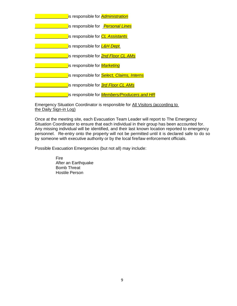| is responsible for <b>Administration</b>           |
|----------------------------------------------------|
| is responsible for Personal Lines                  |
| is responsible for <i>CL Assistants</i>            |
| is responsible for L&H Dept.                       |
| is responsible for <b>2nd Floor CL AMs</b>         |
| is responsible for <b>Marketing</b>                |
| is responsible for <b>Select, Claims, Interns</b>  |
| is responsible for <b>3rd Floor CL AMs</b>         |
| is responsible for <i>Members/Producers and HR</i> |

Emergency Situation Coordinator is responsible for All Visitors (according to the Daily Sign-in Log)

Once at the meeting site, each Evacuation Team Leader will report to The Emergency Situation Coordinator to ensure that each individual in their group has been accounted for. Any missing individual will be identified, and their last known location reported to emergency personnel. Re-entry onto the property will not be permitted until it is declared safe to do so by someone with executive authority or by the local fire/law enforcement officials.

Possible Evacuation Emergencies (but not all) may include:

Fire After an Earthquake Bomb Threat Hostile Person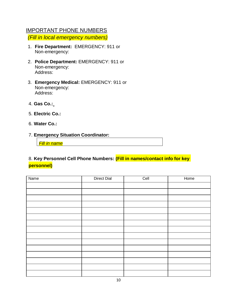#### <span id="page-10-0"></span>IMPORTANT PHONE NUMBERS

*(Fill in local emergency numbers)*

- 1. **Fire Department:** EMERGENCY: 911 or Non-emergency:
- 2. **Police Department:** EMERGENCY: 911 or Non-emergency: Address:
- 3. **Emergency Medical:** EMERGENCY: 911 or Non-emergency: Address:
- 4. **Gas Co.:**
- 5. **Electric Co.:**
- 6. **Water Co.:**
- 7. **Emergency Situation Coordinator:**

*Fill in name*

## 8. **Key Personnel Cell Phone Numbers: (Fill in names/contact info for key personnel)**

| Name | <b>Direct Dial</b> | Cell | Home |
|------|--------------------|------|------|
|      |                    |      |      |
|      |                    |      |      |
|      |                    |      |      |
|      |                    |      |      |
|      |                    |      |      |
|      |                    |      |      |
|      |                    |      |      |
|      |                    |      |      |
|      |                    |      |      |
|      |                    |      |      |
|      |                    |      |      |
|      |                    |      |      |
|      |                    |      |      |
|      |                    |      |      |
|      |                    |      |      |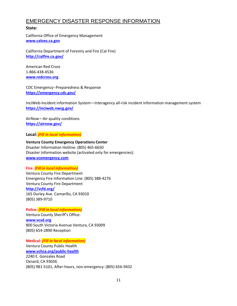## <span id="page-11-0"></span>EMERGENCY DISASTER RESPONSE INFORMATION

#### **State:**

California Office of Emergency Management **[www.caloes.ca.gov](http://www.caloes.ca.gov/)**

California Department of Forestry and Fire (Cal Fire) **<http://calfire.ca.gov/>**

American Red Cross 1-866-438-4536 **[www.redcross.org](http://www.redcross.org/)**

CDC Emergency--Preparedness & Response **<https://emergency.cdc.gov/>**

InciWeb-Incident information System—Interagency all-risk incident information management system **<https://inciweb.nwcg.gov/>**

AirNow—Air quality conditions **<https://airnow.gov/>**

**Local:** *(Fill in local information)*

**Ventura County Emergency Operations Center** Disaster Information Hotline: (805) 465-6650 Disaster Information website (activated only for emergencies): **[www.vcemergency.com](http://www.vcemergency.com/)**

#### **Fire:** *(Fill in local information)*

Ventura County Fire Department Emergency Fire Information Line: (805) 388-4276 Ventura County Fire Department **<http://vcfd.org/>** 165 Durley Ave. Camarillo, CA 93010 (805) 389-9710

**Police:** *(Fill in local information)* Ventura County Sheriff's Office: **[www.vcsd.org](http://www.vcsd.org/)** 800 South Victoria Avenue Ventura, CA 93009 (805) 654-2890 Reception

**Medical:** *(Fill in local information)* Ventura County Public Health **[www.vchca.org/public-health](http://www.vchca.org/public-health)** 2240 E. Gonzales Road Oxnard, CA 93036 (805) 981-5101, After-hours, non-emergency: (805) 656-9432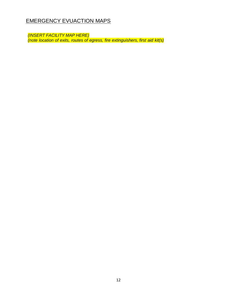## <span id="page-12-0"></span>EMERGENCY EVUACTION MAPS

*(INSERT FACILITY MAP HERE) (note location of exits, routes of egress, fire extinguishers, first aid kit(s)*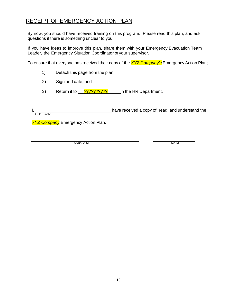## <span id="page-13-0"></span>RECEIPT OF EMERGENCY ACTION PLAN

By now, you should have received training on this program. Please read this plan, and ask questions if there is something unclear to you.

If you have ideas to improve this plan, share them with your Emergency Evacuation Team Leader, the Emergency Situation Coordinator or your supervisor.

To ensure that everyone has received their copy of the *XYZ Company's* Emergency Action Plan;

- 1) Detach this page from the plan,
- 2) Sign and date, and
- 3) Return it to **???????????** in the HR Department.

I, 1. have received a copy of, read, and understand the (PRINT NAME)

*XYZ Company* Emergency Action Plan.

(SIGNATURE) (DATE)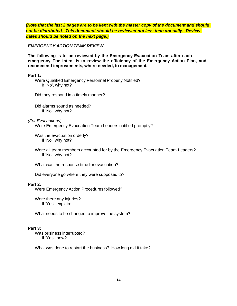*(Note that the last 2 pages are to be kept with the master copy of the document and should not be distributed. This document should be reviewed not less than annually. Review dates should be noted on the next page.)*

*EMERGENCY ACTION TEAM REVIEW*

**The following is to be reviewed by the Emergency Evacuation Team after each emergency. The intent is to review the efficiency of the Emergency Action Plan, and recommend improvements, where needed, to management.**

**Part 1:**

Were Qualified Emergency Personnel Properly Notified? If 'No', why not?

Did they respond in a timely manner?

Did alarms sound as needed? If 'No', why not?

*(For Evacuations)*

Were Emergency Evacuation Team Leaders notified promptly?

Was the evacuation orderly? If 'No', why not?

Were all team members accounted for by the Emergency Evacuation Team Leaders? If 'No', why not?

What was the response time for evacuation?

Did everyone go where they were supposed to?

#### **Part 2:**

Were Emergency Action Procedures followed?

Were there any injuries? If 'Yes', explain:

What needs to be changed to improve the system?

#### **Part 3:**

Was business interrupted? If 'Yes', how?

What was done to restart the business? How long did it take?